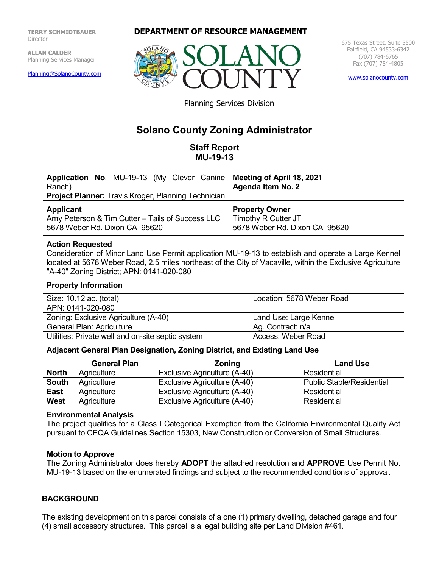**TERRY SCHMIDTBAUER** Director

**ALLAN CALDER** Planning Services Manager

[Planning@SolanoCounty.com](mailto:Planning@SolanoCounty.com)

#### **DEPARTMENT OF RESOURCE MANAGEMENT**



675 Texas Street, Suite 5500 Fairfield, CA 94533-6342 (707) 784-6765 Fax (707) 784-4805

[www.solanocounty.com](http://www.solanocounty.com/)

Planning Services Division

# **Solano County Zoning Administrator**

**Staff Report MU-19-13**

| Application No. MU-19-13 (My Clever Canine   Meeting of April 18, 2021<br>Ranch)<br><b>Project Planner:</b> Travis Kroger, Planning Technician | <b>Agenda Item No. 2</b>                                                      |
|------------------------------------------------------------------------------------------------------------------------------------------------|-------------------------------------------------------------------------------|
| <b>Applicant</b><br>Amy Peterson & Tim Cutter – Tails of Success LLC<br>5678 Weber Rd. Dixon CA 95620                                          | <b>Property Owner</b><br>Timothy R Cutter JT<br>5678 Weber Rd. Dixon CA 95620 |
|                                                                                                                                                |                                                                               |

#### **Action Requested**

Consideration of Minor Land Use Permit application MU-19-13 to establish and operate a Large Kennel located at 5678 Weber Road, 2.5 miles northeast of the City of Vacaville, within the Exclusive Agriculture "A-40" Zoning District; APN: 0141-020-080

#### **Property Information**

Size: 10.12 ac. (total) Location: 5678 Weber Road

APN: 0141-020-080

| Zoning: Exclusive Agriculture (A-40)              | Land Use: Large Kennel |
|---------------------------------------------------|------------------------|
| General Plan: Agriculture                         | Ag. Contract: n/a      |
| Utilities: Private well and on-site septic system | Access: Weber Road     |

#### **Adjacent General Plan Designation, Zoning District, and Existing Land Use**

|              | <b>General Plan</b> | <b>Zoning</b>                | <b>Land Use</b>                  |
|--------------|---------------------|------------------------------|----------------------------------|
| <b>North</b> | Agriculture         | Exclusive Agriculture (A-40) | Residential                      |
| <b>South</b> | Agriculture         | Exclusive Agriculture (A-40) | <b>Public Stable/Residential</b> |
| <b>East</b>  | Agriculture         | Exclusive Agriculture (A-40) | Residential                      |
| <b>West</b>  | Agriculture         | Exclusive Agriculture (A-40) | Residential                      |

#### **Environmental Analysis**

The project qualifies for a Class I Categorical Exemption from the California Environmental Quality Act pursuant to CEQA Guidelines Section 15303, New Construction or Conversion of Small Structures.

#### **Motion to Approve**

The Zoning Administrator does hereby **ADOPT** the attached resolution and **APPROVE** Use Permit No. MU-19-13 based on the enumerated findings and subject to the recommended conditions of approval.

#### **BACKGROUND**

The existing development on this parcel consists of a one (1) primary dwelling, detached garage and four (4) small accessory structures. This parcel is a legal building site per Land Division #461.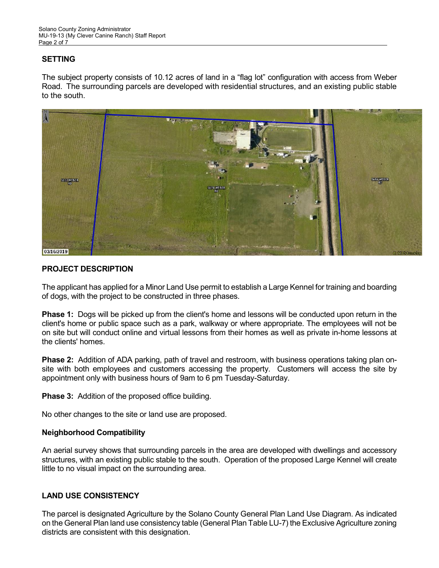# **SETTING**

The subject property consists of 10.12 acres of land in a "flag lot" configuration with access from Weber Road. The surrounding parcels are developed with residential structures, and an existing public stable to the south.



# **PROJECT DESCRIPTION**

The applicant has applied for a Minor Land Use permit to establish a Large Kennel for training and boarding of dogs, with the project to be constructed in three phases.

**Phase 1:** Dogs will be picked up from the client's home and lessons will be conducted upon return in the client's home or public space such as a park, walkway or where appropriate. The employees will not be on site but will conduct online and virtual lessons from their homes as well as private in-home lessons at the clients' homes.

**Phase 2:** Addition of ADA parking, path of travel and restroom, with business operations taking plan onsite with both employees and customers accessing the property. Customers will access the site by appointment only with business hours of 9am to 6 pm Tuesday-Saturday.

**Phase 3:** Addition of the proposed office building.

No other changes to the site or land use are proposed.

# **Neighborhood Compatibility**

An aerial survey shows that surrounding parcels in the area are developed with dwellings and accessory structures, with an existing public stable to the south. Operation of the proposed Large Kennel will create little to no visual impact on the surrounding area.

# **LAND USE CONSISTENCY**

The parcel is designated Agriculture by the Solano County General Plan Land Use Diagram. As indicated on the General Plan land use consistency table (General Plan Table LU-7) the Exclusive Agriculture zoning districts are consistent with this designation.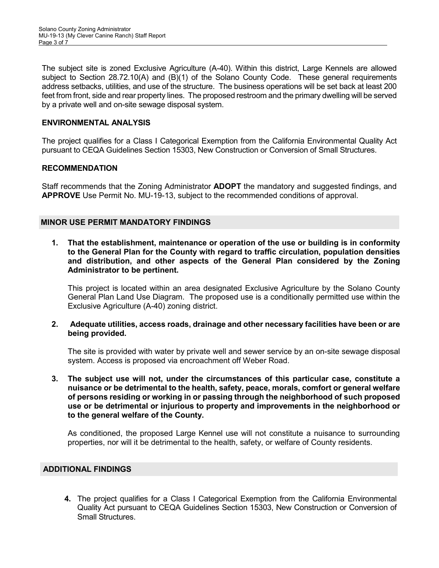The subject site is zoned Exclusive Agriculture (A-40). Within this district, Large Kennels are allowed subject to Section 28.72.10(A) and (B)(1) of the Solano County Code. These general requirements address setbacks, utilities, and use of the structure. The business operations will be set back at least 200 feet from front, side and rear property lines. The proposed restroom and the primary dwelling will be served by a private well and on-site sewage disposal system.

#### **ENVIRONMENTAL ANALYSIS**

The project qualifies for a Class I Categorical Exemption from the California Environmental Quality Act pursuant to CEQA Guidelines Section 15303, New Construction or Conversion of Small Structures.

#### **RECOMMENDATION**

Staff recommends that the Zoning Administrator **ADOPT** the mandatory and suggested findings, and **APPROVE** Use Permit No. MU-19-13, subject to the recommended conditions of approval.

#### **MINOR USE PERMIT MANDATORY FINDINGS**

**1. That the establishment, maintenance or operation of the use or building is in conformity to the General Plan for the County with regard to traffic circulation, population densities and distribution, and other aspects of the General Plan considered by the Zoning Administrator to be pertinent.**

This project is located within an area designated Exclusive Agriculture by the Solano County General Plan Land Use Diagram. The proposed use is a conditionally permitted use within the Exclusive Agriculture (A-40) zoning district.

#### **2. Adequate utilities, access roads, drainage and other necessary facilities have been or are being provided.**

The site is provided with water by private well and sewer service by an on-site sewage disposal system. Access is proposed via encroachment off Weber Road.

**3. The subject use will not, under the circumstances of this particular case, constitute a nuisance or be detrimental to the health, safety, peace, morals, comfort or general welfare of persons residing or working in or passing through the neighborhood of such proposed use or be detrimental or injurious to property and improvements in the neighborhood or to the general welfare of the County.**

As conditioned, the proposed Large Kennel use will not constitute a nuisance to surrounding properties, nor will it be detrimental to the health, safety, or welfare of County residents.

#### **ADDITIONAL FINDINGS**

**4.** The project qualifies for a Class I Categorical Exemption from the California Environmental Quality Act pursuant to CEQA Guidelines Section 15303, New Construction or Conversion of Small Structures.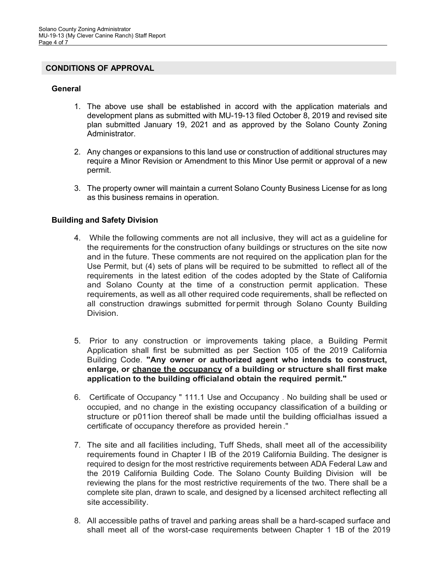#### **CONDITIONS OF APPROVAL**

#### **General**

- 1. The above use shall be established in accord with the application materials and development plans as submitted with MU-19-13 filed October 8, 2019 and revised site plan submitted January 19, 2021 and as approved by the Solano County Zoning Administrator.
- 2. Any changes or expansions to this land use or construction of additional structures may require a Minor Revision or Amendment to this Minor Use permit or approval of a new permit.
- 3. The property owner will maintain a current Solano County Business License for as long as this business remains in operation.

#### **Building and Safety Division**

- 4. While the following comments are not all inclusive, they will act as a guideline for the requirements for the construction ofany buildings or structures on the site now and in the future. These comments are not required on the application plan for the Use Permit, but (4) sets of plans will be required to be submitted to reflect all of the requirements in the latest edition of the codes adopted by the State of California and Solano County at the time of a construction permit application. These requirements, as well as all other required code requirements, shall be reflected on all construction drawings submitted for permit through Solano County Building Division.
- 5. Prior to any construction or improvements taking place, a Building Permit Application shall first be submitted as per Section 105 of the 2019 California Building Code. **"Any owner or authorized agent who intends to construct, enlarge, or change the occupancy of a building or structure shall first make application to the building officialand obtain the required permit."**
- 6. Certificate of Occupancy " 111.1 Use and Occupancy . No building shall be used or occupied, and no change in the existing occupancy classification of a building or structure or p011ion thereof shall be made until the building officialhas issued a certificate of occupancy therefore as provided herein ."
- 7. The site and all facilities including, Tuff Sheds, shall meet all of the accessibility requirements found in Chapter l IB of the 2019 California Building. The designer is required to design for the most restrictive requirements between ADA Federal Law and the 2019 California Building Code. The Solano County Building Division will be reviewing the plans for the most restrictive requirements of the two. There shall be a complete site plan, drawn to scale, and designed by a licensed architect reflecting all site accessibility.
- 8. All accessible paths of travel and parking areas shall be a hard-scaped surface and shall meet all of the worst-case requirements between Chapter 1 1B of the 2019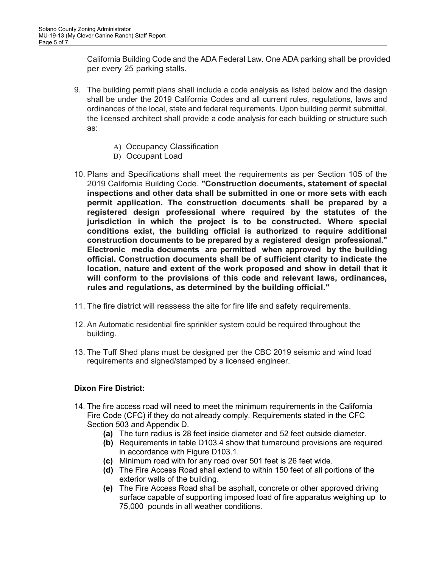California Building Code and the ADA Federal Law. One ADA parking shall be provided per every 25 parking stalls.

- 9. The building permit plans shall include a code analysis as listed below and the design shall be under the 2019 California Codes and all current rules, regulations, laws and ordinances of the local, state and federal requirements. Upon building permit submittal, the licensed architect shall provide a code analysis for each building or structure such as:
	- A) Occupancy Classification
	- B) Occupant Load
- 10. Plans and Specifications shall meet the requirements as per Section 105 of the 2019 California Building Code. **"Construction documents, statement of special inspections and other data shall be submitted in one or more sets with each permit application. The construction documents shall be prepared by a registered design professional where required by the statutes of the jurisdiction in which the project is to be constructed. Where special conditions exist, the building official is authorized to require additional construction documents to be prepared by a registered design professional." Electronic media documents are permitted when approved by the building official. Construction documents shall be of sufficient clarity to indicate the location, nature and extent of the work proposed and show in detail that it will conform to the provisions of this code and relevant laws, ordinances, rules and regulations, as determined by the building official."**
- 11. The fire district will reassess the site for fire life and safety requirements.
- 12. An Automatic residential fire sprinkler system could be required throughout the building.
- 13. The Tuff Shed plans must be designed per the CBC 2019 seismic and wind load requirements and signed/stamped by a licensed engineer.

# **Dixon Fire District:**

- 14. The fire access road will need to meet the minimum requirements in the California Fire Code (CFC) if they do not already comply. Requirements stated in the CFC Section 503 and Appendix D.
	- **(a)** The turn radius is 28 feet inside diameter and 52 feet outside diameter.
	- **(b)** Requirements in table D103.4 show that turnaround provisions are required in accordance with Figure D103.1.
	- **(c)** Minimum road with for any road over 501 feet is 26 feet wide.
	- **(d)** The Fire Access Road shall extend to within 150 feet of all portions of the exterior walls of the building.
	- **(e)** The Fire Access Road shall be asphalt, concrete or other approved driving surface capable of supporting imposed load of fire apparatus weighing up to 75,000 pounds in all weather conditions.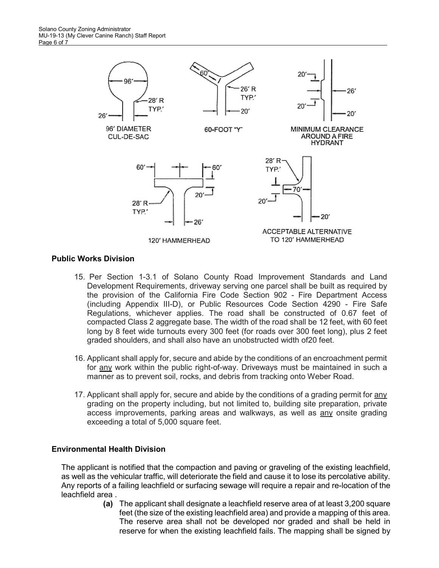

# **Public Works Division**

- 15. Per Section 1-3.1 of Solano County Road Improvement Standards and Land Development Requirements, driveway serving one parcel shall be built as required by the provision of the California Fire Code Section 902 - Fire Department Access (including Appendix III-D), or Public Resources Code Section 4290 - Fire Safe Regulations, whichever applies. The road shall be constructed of 0.67 feet of compacted Class 2 aggregate base. The width of the road shall be 12 feet, with 60 feet long by 8 feet wide turnouts every 300 feet (for roads over 300 feet long), plus 2 feet graded shoulders, and shall also have an unobstructed width of20 feet.
- 16. Applicant shall apply for, secure and abide by the conditions of an encroachment permit for any work within the public right-of-way. Driveways must be maintained in such a manner as to prevent soil, rocks, and debris from tracking onto Weber Road.
- 17. Applicant shall apply for, secure and abide by the conditions of a grading permit for any grading on the property including, but not limited to, building site preparation, private access improvements, parking areas and walkways, as well as any onsite grading exceeding a total of 5,000 square feet.

# **Environmental Health Division**

The applicant is notified that the compaction and paving or graveling of the existing leachfield, as well as the vehicular traffic, will deteriorate the field and cause it to lose its percolative ability. Any reports of a failing leachfield or surfacing sewage will require a repair and re-location of the leachfield area .

**(a)** The applicant shall designate a leachfield reserve area of at least 3,200 square feet (the size of the existing leachfield area) and provide a mapping of this area. The reserve area shall not be developed nor graded and shall be held in reserve for when the existing leachfield fails. The mapping shall be signed by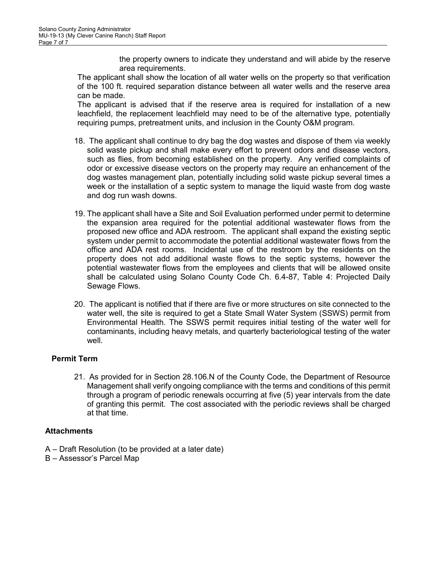the property owners to indicate they understand and will abide by the reserve area requirements.

The applicant shall show the location of all water wells on the property so that verification of the 100 ft. required separation distance between all water wells and the reserve area can be made.

The applicant is advised that if the reserve area is required for installation of a new leachfield, the replacement leachfield may need to be of the alternative type, potentially requiring pumps, pretreatment units, and inclusion in the County O&M program.

- 18. The applicant shall continue to dry bag the dog wastes and dispose of them via weekly solid waste pickup and shall make every effort to prevent odors and disease vectors, such as flies, from becoming established on the property. Any verified complaints of odor or excessive disease vectors on the property may require an enhancement of the dog wastes management plan, potentially including solid waste pickup several times a week or the installation of a septic system to manage the liquid waste from dog waste and dog run wash downs.
- 19. The applicant shall have a Site and Soil Evaluation performed under permit to determine the expansion area required for the potential additional wastewater flows from the proposed new office and ADA restroom. The applicant shall expand the existing septic system under permit to accommodate the potential additional wastewater flows from the office and ADA rest rooms. Incidental use of the restroom by the residents on the property does not add additional waste flows to the septic systems, however the potential wastewater flows from the employees and clients that will be allowed onsite shall be calculated using Solano County Code Ch. 6.4-87, Table 4: Projected Daily Sewage Flows.
- 20. The applicant is notified that if there are five or more structures on site connected to the water well, the site is required to get a State Small Water System (SSWS) permit from Environmental Health. The SSWS permit requires initial testing of the water well for contaminants, including heavy metals, and quarterly bacteriological testing of the water well.

# **Permit Term**

21. As provided for in Section 28.106.N of the County Code, the Department of Resource Management shall verify ongoing compliance with the terms and conditions of this permit through a program of periodic renewals occurring at five (5) year intervals from the date of granting this permit. The cost associated with the periodic reviews shall be charged at that time.

# **Attachments**

- A Draft Resolution (to be provided at a later date)
- B Assessor's Parcel Map